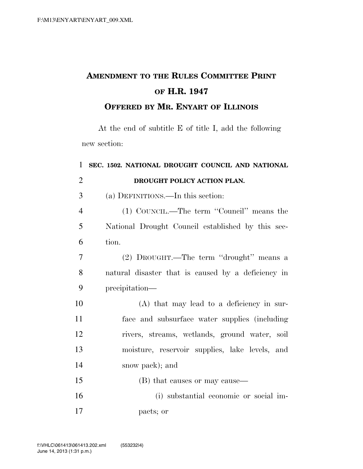## **AMENDMENT TO THE RULES COMMITTEE PRINT OF H.R. 1947**

## **OFFERED BY MR. ENYART OF ILLINOIS**

At the end of subtitle E of title I, add the following new section:

| 1              | SEC. 1502. NATIONAL DROUGHT COUNCIL AND NATIONAL   |
|----------------|----------------------------------------------------|
| $\overline{2}$ | DROUGHT POLICY ACTION PLAN.                        |
| 3              | (a) DEFINITIONS.—In this section:                  |
| $\overline{4}$ | (1) COUNCIL.—The term "Council" means the          |
| 5              | National Drought Council established by this sec-  |
| 6              | tion.                                              |
| 7              | (2) DROUGHT.—The term "drought" means a            |
| 8              | natural disaster that is caused by a deficiency in |
| 9              | precipitation—                                     |
| 10             | (A) that may lead to a deficiency in sur-          |
| 11             | face and subsurface water supplies (including      |
| 12             | rivers, streams, wetlands, ground water, soil      |
| 13             | moisture, reservoir supplies, lake levels, and     |
| 14             | snow pack); and                                    |
| 15             | (B) that causes or may cause—                      |
| 16             | (i) substantial economic or social im-             |
| 17             | pacts; or                                          |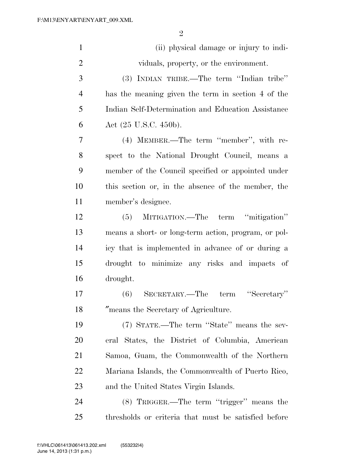| $\mathbf{1}$   | (ii) physical damage or injury to indi-              |
|----------------|------------------------------------------------------|
| $\overline{2}$ | viduals, property, or the environment.               |
| 3              | (3) INDIAN TRIBE.—The term "Indian tribe"            |
| $\overline{4}$ | has the meaning given the term in section 4 of the   |
| 5              | Indian Self-Determination and Education Assistance   |
| 6              | Act $(25 \text{ U.S.C. } 450 \text{b}).$             |
| 7              | (4) MEMBER.—The term "member", with re-              |
| 8              | spect to the National Drought Council, means a       |
| 9              | member of the Council specified or appointed under   |
| 10             | this section or, in the absence of the member, the   |
| 11             | member's designee.                                   |
| 12             | (5) MITIGATION.—The term "mitigation"                |
| 13             | means a short- or long-term action, program, or pol- |
| 14             | icy that is implemented in advance of or during a    |
| 15             | drought to minimize any risks and impacts of         |
| 16             | drought.                                             |
| 17             | (6) SECRETARY.—The term "Secretary"                  |
| 18             | means the Secretary of Agriculture.                  |
| 19             | (7) STATE.—The term "State" means the sev-           |
| 20             | eral States, the District of Columbia, American      |
| 21             | Samoa, Guam, the Commonwealth of the Northern        |
| 22             | Mariana Islands, the Commonwealth of Puerto Rico,    |
| 23             | and the United States Virgin Islands.                |
| 24             | (8) TRIGGER.—The term "trigger" means the            |
| 25             | thresholds or criteria that must be satisfied before |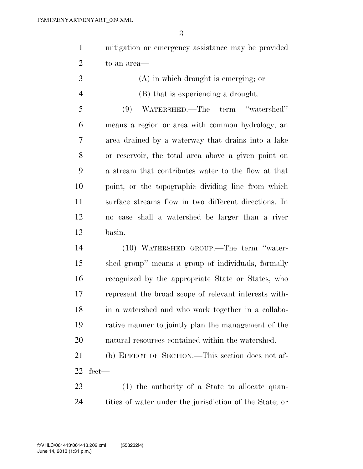| mitigation or emergency assistance may be provided |
|----------------------------------------------------|
| to an area—                                        |

 (A) in which drought is emerging; or (B) that is experiencing a drought.

 (9) WATERSHED.—The term ''watershed'' means a region or area with common hydrology, an area drained by a waterway that drains into a lake or reservoir, the total area above a given point on a stream that contributes water to the flow at that point, or the topographic dividing line from which surface streams flow in two different directions. In no case shall a watershed be larger than a river basin.

 (10) WATERSHED GROUP.—The term ''water- shed group'' means a group of individuals, formally recognized by the appropriate State or States, who represent the broad scope of relevant interests with- in a watershed and who work together in a collabo- rative manner to jointly plan the management of the natural resources contained within the watershed.

 (b) EFFECT OF SECTION.—This section does not af-fect—

 (1) the authority of a State to allocate quan-tities of water under the jurisdiction of the State; or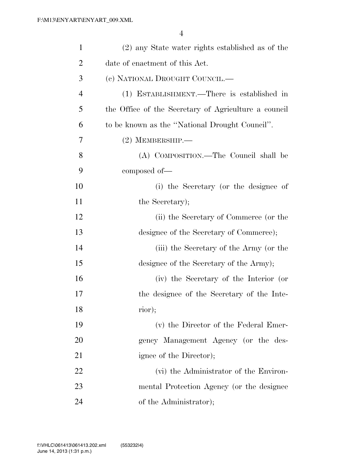| $\mathbf{1}$   | (2) any State water rights established as of the     |
|----------------|------------------------------------------------------|
| $\overline{2}$ | date of enactment of this Act.                       |
| 3              | (e) NATIONAL DROUGHT COUNCIL.-                       |
| $\overline{4}$ | (1) ESTABLISHMENT.—There is established in           |
| 5              | the Office of the Secretary of Agriculture a council |
| 6              | to be known as the "National Drought Council".       |
| 7              | $(2)$ MEMBERSHIP.—                                   |
| 8              | (A) COMPOSITION.—The Council shall be                |
| 9              | composed of—                                         |
| 10             | (i) the Secretary (or the designee of                |
| 11             | the Secretary);                                      |
| 12             | (ii) the Secretary of Commerce (or the               |
| 13             | designee of the Secretary of Commerce);              |
| 14             | (iii) the Secretary of the Army (or the              |
| 15             | designee of the Secretary of the Army);              |
| 16             | (iv) the Secretary of the Interior (or               |
| 17             | the designee of the Secretary of the Inte-           |
| 18             | rior);                                               |
| 19             | (v) the Director of the Federal Emer-                |
| 20             | gency Management Agency (or the des-                 |
| 21             | ignee of the Director);                              |
| 22             | (vi) the Administrator of the Environ-               |
| 23             | mental Protection Agency (or the designee            |
| 24             | of the Administrator);                               |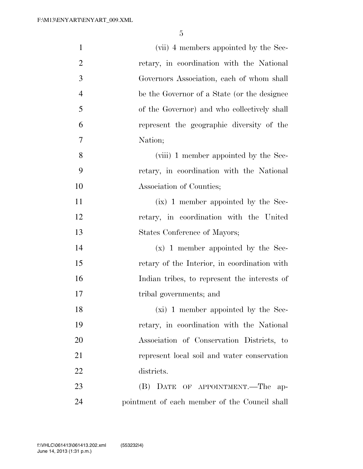| $\mathbf{1}$   | (vii) 4 members appointed by the Sec-         |
|----------------|-----------------------------------------------|
| $\overline{2}$ | retary, in coordination with the National     |
| 3              | Governors Association, each of whom shall     |
| $\overline{4}$ | be the Governor of a State (or the designee   |
| 5              | of the Governor) and who collectively shall   |
| 6              | represent the geographic diversity of the     |
| 7              | Nation;                                       |
| 8              | (viii) 1 member appointed by the Sec-         |
| 9              | retary, in coordination with the National     |
| 10             | Association of Counties;                      |
| 11             | $(ix)$ 1 member appointed by the Sec-         |
| 12             | retary, in coordination with the United       |
| 13             | States Conference of Mayors;                  |
| 14             | $(x)$ 1 member appointed by the Sec-          |
| 15             | retary of the Interior, in coordination with  |
| 16             | Indian tribes, to represent the interests of  |
| 17             | tribal governments; and                       |
| 18             | (xi) 1 member appointed by the Sec-           |
| 19             | retary, in coordination with the National     |
| 20             | Association of Conservation Districts, to     |
| 21             | represent local soil and water conservation   |
| 22             | districts.                                    |
| 23             | (B) DATE OF APPOINTMENT.—The ap-              |
| 24             | pointment of each member of the Council shall |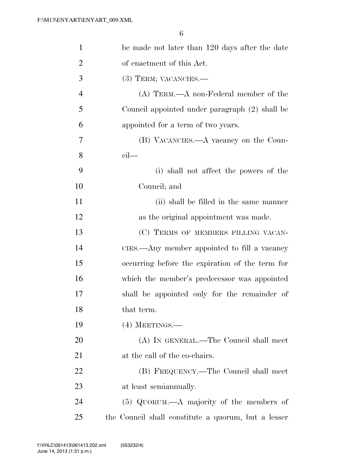| $\mathbf{1}$   | be made not later than 120 days after the date      |
|----------------|-----------------------------------------------------|
| $\overline{2}$ | of enactment of this Act.                           |
| 3              | (3) TERM; VACANCIES.-                               |
| $\overline{4}$ | $(A)$ TERM.— $A$ non-Federal member of the          |
| 5              | Council appointed under paragraph (2) shall be      |
| 6              | appointed for a term of two years.                  |
| 7              | (B) VACANCIES.—A vacancy on the Coun-               |
| 8              | $\operatorname{cil}$                                |
| 9              | (i) shall not affect the powers of the              |
| 10             | Council; and                                        |
| 11             | (ii) shall be filled in the same manner             |
| 12             | as the original appointment was made.               |
| 13             | (C) TERMS OF MEMBERS FILLING VACAN-                 |
| 14             | CIES.—Any member appointed to fill a vacancy        |
| 15             | occurring before the expiration of the term for     |
| 16             | which the member's predecessor was appointed        |
| 17             | shall be appointed only for the remainder of        |
| 18             | that term.                                          |
| 19             | $(4)$ MEETINGS.—                                    |
| 20             | (A) IN GENERAL.—The Council shall meet              |
| 21             | at the call of the co-chairs.                       |
| 22             | (B) FREQUENCY.—The Council shall meet               |
| 23             | at least semianmually.                              |
| 24             | $(5)$ QUORUM.—A majority of the members of          |
| 25             | the Council shall constitute a quorum, but a lesser |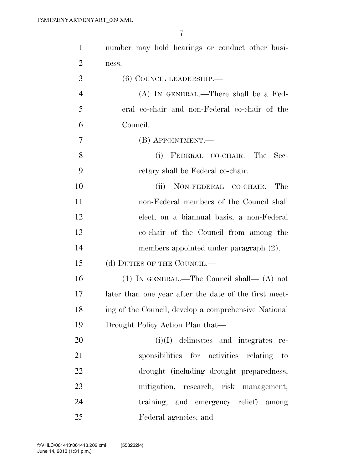| $\mathbf{1}$   | number may hold hearings or conduct other busi-       |
|----------------|-------------------------------------------------------|
| $\overline{2}$ | ness.                                                 |
| 3              | $(6)$ COUNCIL LEADERSHIP.—                            |
| $\overline{4}$ | $(A)$ In GENERAL.—There shall be a Fed-               |
| 5              | eral co-chair and non-Federal co-chair of the         |
| 6              | Council.                                              |
| 7              | (B) APPOINTMENT.—                                     |
| 8              | (i) FEDERAL CO-CHAIR.—The<br>Sec-                     |
| 9              | retary shall be Federal co-chair.                     |
| 10             | NON-FEDERAL CO-CHAIR.-The<br>(ii)                     |
| 11             | non-Federal members of the Council shall              |
| 12             | elect, on a biannual basis, a non-Federal             |
| 13             | co-chair of the Council from among the                |
| 14             | members appointed under paragraph (2).                |
| 15             | (d) DUTIES OF THE COUNCIL.—                           |
| 16             | $(1)$ In GENERAL.—The Council shall— $(A)$ not        |
| 17             | later than one year after the date of the first meet- |
| 18             | ing of the Council, develop a comprehensive National  |
| 19             | Drought Policy Action Plan that—                      |
| 20             | $(i)(I)$ delineates and integrates<br>re-             |
| 21             | sponsibilities for activities relating<br>$-$ to      |
| 22             | drought (including drought preparedness,              |
| 23             | mitigation, research, risk management,                |
| 24             | training, and emergency relief) among                 |
| 25             | Federal agencies; and                                 |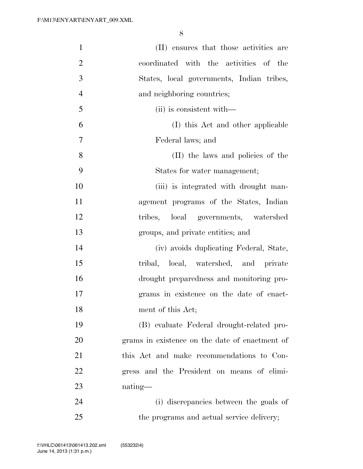| $\mathbf{1}$   | (II) ensures that those activities are         |
|----------------|------------------------------------------------|
| $\overline{2}$ | coordinated with the activities of the         |
| 3              | States, local governments, Indian tribes,      |
| $\overline{4}$ | and neighboring countries;                     |
| 5              | (ii) is consistent with—                       |
| 6              | (I) this Act and other applicable              |
| 7              | Federal laws; and                              |
| 8              | (II) the laws and policies of the              |
| 9              | States for water management;                   |
| 10             | (iii) is integrated with drought man-          |
| 11             | agement programs of the States, Indian         |
| 12             | tribes, local governments, watershed           |
| 13             | groups, and private entities; and              |
| 14             | (iv) avoids duplicating Federal, State,        |
| 15             | tribal, local, watershed, and private          |
| 16             | drought preparedness and monitoring pro-       |
| 17             | grams in existence on the date of enact-       |
| 18             | ment of this Act;                              |
| 19             | (B) evaluate Federal drought-related pro-      |
| 20             | grams in existence on the date of enactment of |
| 21             | this Act and make recommendations to Con-      |
| 22             | gress and the President on means of elimi-     |
| 23             | nating—                                        |
| 24             | (i) discrepancies between the goals of         |
| 25             | the programs and actual service delivery;      |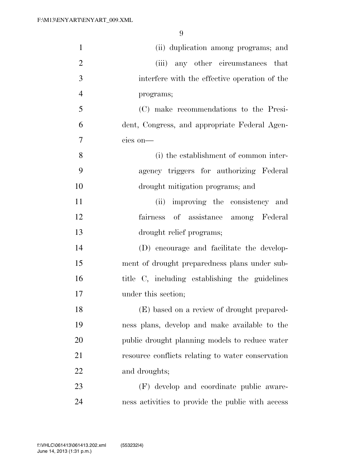| $\mathbf{1}$   | (ii) duplication among programs; and              |
|----------------|---------------------------------------------------|
| $\overline{2}$ | (iii) any other circumstances that                |
| 3              | interfere with the effective operation of the     |
| $\overline{4}$ | programs;                                         |
| 5              | (C) make recommendations to the Presi-            |
| 6              | dent, Congress, and appropriate Federal Agen-     |
| $\tau$         | cies on-                                          |
| 8              | (i) the establishment of common inter-            |
| 9              | agency triggers for authorizing Federal           |
| 10             | drought mitigation programs; and                  |
| 11             | (ii) improving the consistency and                |
| 12             | of assistance among Federal<br>fairness           |
| 13             | drought relief programs;                          |
| 14             | (D) encourage and facilitate the develop-         |
| 15             | ment of drought preparedness plans under sub-     |
| 16             | title C, including establishing the guidelines    |
| 17             | under this section;                               |
| 18             | (E) based on a review of drought prepared-        |
| 19             | ness plans, develop and make available to the     |
| 20             | public drought planning models to reduce water    |
| 21             | resource conflicts relating to water conservation |
| 22             | and droughts;                                     |
| 23             | (F) develop and coordinate public aware-          |
| 24             | ness activities to provide the public with access |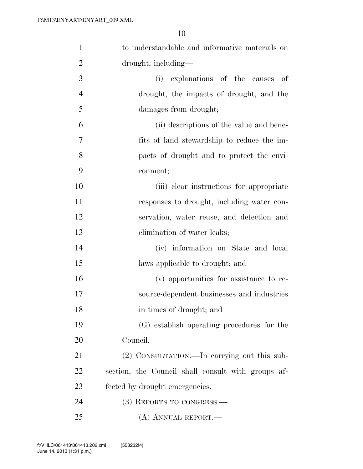| $\mathbf{1}$   | to understandable and informative materials on     |
|----------------|----------------------------------------------------|
| $\overline{2}$ | drought, including—                                |
| 3              | explanations of the causes of<br>(i)               |
| $\overline{4}$ | drought, the impacts of drought, and the           |
| 5              | damages from drought;                              |
| 6              | (ii) descriptions of the value and bene-           |
| 7              | fits of land stewardship to reduce the im-         |
| 8              | pacts of drought and to protect the envi-          |
| 9              | ronment;                                           |
| 10             | (iii) clear instructions for appropriate           |
| 11             | responses to drought, including water con-         |
| 12             | servation, water reuse, and detection and          |
| 13             | elimination of water leaks;                        |
| 14             | (iv) information on State and local                |
| 15             | laws applicable to drought; and                    |
| 16             | (v) opportunities for assistance to re-            |
| 17             | source-dependent businesses and industries         |
| 18             | in times of drought; and                           |
| 19             | (G) establish operating procedures for the         |
| 20             | Council.                                           |
| 21             | (2) CONSULTATION.—In carrying out this sub-        |
| 22             | section, the Council shall consult with groups af- |
| 23             | fected by drought emergencies.                     |
| 24             | $(3)$ REPORTS TO CONGRESS.—                        |
| 25             | (A) ANNUAL REPORT.—                                |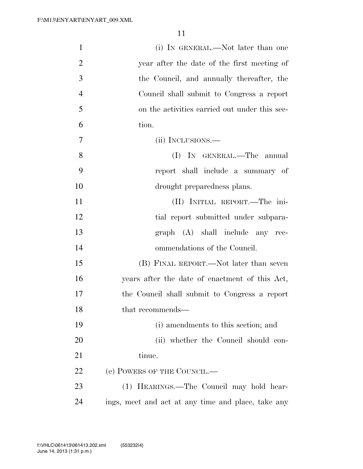| $\mathbf{1}$   | (i) IN GENERAL.—Not later than one                 |
|----------------|----------------------------------------------------|
| $\overline{2}$ | year after the date of the first meeting of        |
| 3              | the Council, and annually thereafter, the          |
| $\overline{4}$ | Council shall submit to Congress a report          |
| 5              | on the activities carried out under this sec-      |
| 6              | tion.                                              |
| 7              | (ii) INCLUSIONS.—                                  |
| 8              | (I) IN GENERAL.—The annual                         |
| 9              | report shall include a summary of                  |
| 10             | drought preparedness plans.                        |
| 11             | (II) INITIAL REPORT.—The ini-                      |
| 12             | tial report submitted under subpara-               |
| 13             | graph (A) shall include any rec-                   |
| 14             | ommendations of the Council.                       |
| 15             | (B) FINAL REPORT.—Not later than seven             |
| 16             | years after the date of enactment of this Act,     |
| 17             | the Council shall submit to Congress a report      |
| 18             | that recommends—                                   |
| 19             | (i) amendments to this section; and                |
| 20             | (ii) whether the Council should con-               |
| 21             | tinue.                                             |
| 22             | (e) POWERS OF THE COUNCIL.—                        |
| 23             | (1) HEARINGS.—The Council may hold hear-           |
| 24             | ings, meet and act at any time and place, take any |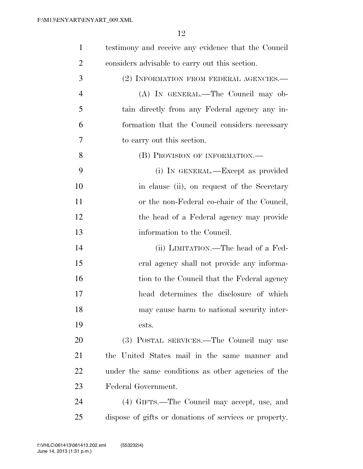| $\mathbf{1}$   | testimony and receive any evidence that the Council    |
|----------------|--------------------------------------------------------|
| $\overline{2}$ | considers advisable to carry out this section.         |
| 3              | (2) INFORMATION FROM FEDERAL AGENCIES.—                |
| $\overline{4}$ | (A) IN GENERAL.—The Council may ob-                    |
| 5              | tain directly from any Federal agency any in-          |
| 6              | formation that the Council considers necessary         |
| 7              | to carry out this section.                             |
| 8              | (B) PROVISION OF INFORMATION.—                         |
| 9              | (i) IN GENERAL.—Except as provided                     |
| 10             | in clause (ii), on request of the Secretary            |
| 11             | or the non-Federal co-chair of the Council,            |
| 12             | the head of a Federal agency may provide               |
| 13             | information to the Council.                            |
| 14             | (ii) LIMITATION.—The head of a Fed-                    |
| 15             | eral agency shall not provide any informa-             |
| 16             | tion to the Council that the Federal agency            |
| 17             | head determines the disclosure of which                |
| 18             | may cause harm to national security inter-             |
| 19             | ests.                                                  |
| 20             | (3) POSTAL SERVICES.—The Council may use               |
| 21             | the United States mail in the same manner and          |
| 22             | under the same conditions as other agencies of the     |
| 23             | Federal Government.                                    |
| 24             | (4) GIFTS.—The Council may accept, use, and            |
| 25             | dispose of gifts or donations of services or property. |